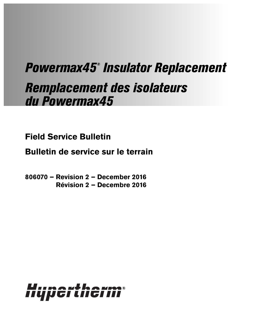# Powermax45® Insulator Replacement Remplacement des isolateurs du Powermax45

**Field Service Bulletin**

**Bulletin de service sur le terrain**

**806070 – Revision 2 – December 2016 Révision 2 – Decembre 2016**

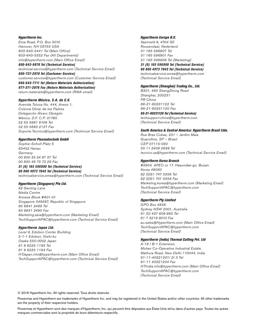#### Hypertherm Inc.

Etna Road, P.O. Box 5010 Hanover, NH 03755 USA 603-643-3441 Tel (Main Office) 603-643-5352 Fax (All Departments) info@hypertherm.com (Main Office Email)

#### 800-643-9878 Tel (Technical Service) technical.service@hypertherm.com (Technical Service Email)

800-737-2978 Tel (Customer Service) customer.service@hypertherm.com (Customer Service Email) 866-643-7711 Tel (Return Materials Authorization) 877-371-2876 Fax (Return Materials Authorization) return.materials@hypertherm.com (RMA email)

#### Hypertherm México, S.A. de C.V.

Avenida Toluca No. 444, Anexo 1, Colonia Olivar de los Padres Delegación Álvaro Obregón México, D.F. C.P. 01780 52 55 5681 8109 Tel 52 55 5683 2127 Fax Soporte.Tecnico@hypertherm.com (Technical Service Email)

#### Hypertherm Plasmatechnik GmbH

Sophie-Scholl-Platz 5 63452 Hanau Germany 00 800 33 24 97 37 Tel 00 800 49 73 73 29 Fax 31 (0) 165 596900 Tel (Technical Service) 00 800 4973 7843 Tel (Technical Service)

technicalservice.emea@hypertherm.com (Technical Service Email)

#### Hypertherm (Singapore) Pte Ltd.

82 Genting Lane Media Centre Annexe Block #A01-01 Singapore 349567, Republic of Singapore 65 6841 2489 Tel 65 6841 2490 Fax Marketing.asia@hypertherm.com (Marketing Email) TechSupportAPAC@hypertherm.com (Technical Service Email)

#### Hypertherm Japan Ltd.

Level 9, Edobori Center Building 2-1-1 Edobori, Nishi-ku Osaka 550-0002 Japan 81 6 6225 1183 Tel 81 6 6225 1184 Fax HTJapan.info@hypertherm.com (Main Office Email) TechSupportAPAC@hypertherm.com (Technical Service Email)

#### Hypertherm Europe B.V.

Vaartveld 9, 4704 SE Roosendaal, Nederland 31 165 596907 Tel 31 165 596901 Fax 31 165 596908 Tel (Marketing) 31 (0) 165 596900 Tel (Technical Service) 00 800 4973 7843 Tel (Technical Service)

technicalservice.emea@hypertherm.com (Technical Service Email)

#### Hypertherm (Shanghai) Trading Co., Ltd.

B301, 495 ShangZhong Road Shanghai, 200231 PR China 86-21-80231122 Tel 86-21-80231120 Fax 86-21-80231128 Tel (Technical Service) techsupport.china@hypertherm.com

(Technical Service Email)

## South America & Central America: Hypertherm Brasil Ltda.

Rua Bras Cubas, 231 – Jardim Maia Guarulhos, SP – Brasil CEP 07115-030 55 11 2409 2636 Tel tecnico.sa@hypertherm.com (Technical Service Email)

#### Hypertherm Korea Branch

#3904. APEC-ro 17. Heaundae-gu. Busan. Korea 48060 82 (0)51 747 0358 Tel 82 (0)51 701 0358 Fax Marketing.korea@hypertherm.com (Marketing Email) TechSupportAPAC@hypertherm.com (Technical Service Email)

#### Hypertherm Pty Limited

GPO Box 4836 Sydney NSW 2001, Australia 61 (0) 437 606 995 Tel 61 7 3219 9010 Fax au.sales@Hypertherm.com (Main Office Email) TechSupportAPAC@hypertherm.com (Technical Service Email)

#### Hypertherm (India) Thermal Cutting Pvt. Ltd

A-18 / B-1 Extension, Mohan Co-Operative Industrial Estate, Mathura Road, New Delhi 110044, India 91-11-40521201/ 2/ 3 Tel 91-11 40521204 Fax HTIndia.info@hypertherm.com (Main Office Email) TechSupportAPAC@hypertherm.com (Technical Service Email)

© 2016 Hypertherm Inc. All rights reserved. Tous droits réservés.

Powermax and Hypertherm are trademarks of Hypertherm Inc. and may be registered in the United States and/or other countries. All other trademarks are the property of their respective holders.

Powermax et Hypertherm sont des marques d'Hypertherm, Inc. qui peuvent être déposées aux États-Unis et/ou dans d'autres pays. Toutes les autres marques commerciales sont la propriété de leurs détenteurs respectifs.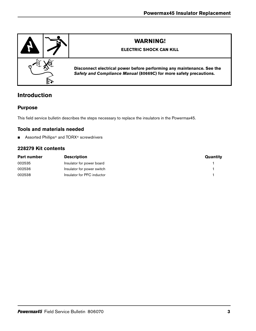

# **Introduction**

## **Purpose**

This field service bulletin describes the steps necessary to replace the insulators in the Powermax45.

## **Tools and materials needed**

■ Assorted Phillips<sup>®</sup> and TORX<sup>®</sup> screwdrivers

## **228279 Kit contents**

| Part number | <b>Description</b>         | Quantity |
|-------------|----------------------------|----------|
| 002535      | Insulator for power board  |          |
| 002536      | Insulator for power switch |          |
| 002538      | Insulator for PFC inductor |          |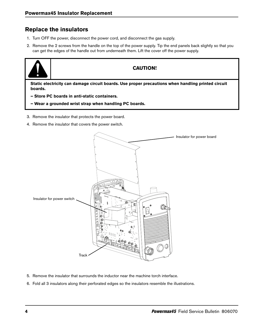# **Replace the insulators**

- 1. Turn OFF the power, disconnect the power cord, and disconnect the gas supply.
- 2. Remove the 2 screws from the handle on the top of the power supply. Tip the end panels back slightly so that you can get the edges of the handle out from underneath them. Lift the cover off the power supply.



## **CAUTION!**

**Static electricity can damage circuit boards. Use proper precautions when handling printed circuit boards.**

- **Store PC boards in anti-static containers.**
- **Wear a grounded wrist strap when handling PC boards.**
- 3. Remove the insulator that protects the power board.
- <span id="page-3-0"></span>4. Remove the insulator that covers the power switch.



- 5. Remove the insulator that surrounds the inductor near the machine torch interface.
- 6. Fold all 3 insulators along their perforated edges so the insulators resemble the illustrations.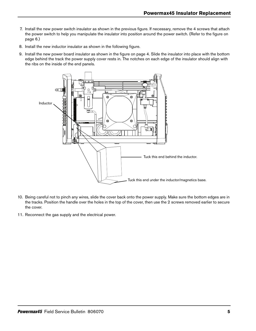- 7. Install the new power switch insulator as shown in the previous figure. If necessary, remove the 4 screws that attach the power switch to help you manipulate the insulator into position around the power switch. (Refer to the figure on [page 6.](#page-5-0))
- 8. Install the new inductor insulator as shown in the following figure.
- 9. Install the new power board insulator as shown in the figure on [page 4](#page-3-0). Slide the insulator into place with the bottom edge behind the track the power supply cover rests in. The notches on each edge of the insulator should align with the ribs on the inside of the end panels.



- 10. Being careful not to pinch any wires, slide the cover back onto the power supply. Make sure the bottom edges are in the tracks. Position the handle over the holes in the top of the cover, then use the 2 screws removed earlier to secure the cover.
- 11. Reconnect the gas supply and the electrical power.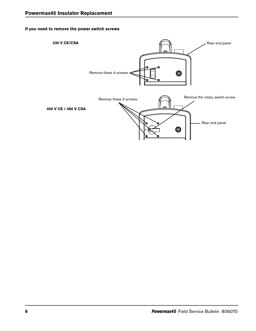## <span id="page-5-0"></span>**If you need to remove the power switch screws**

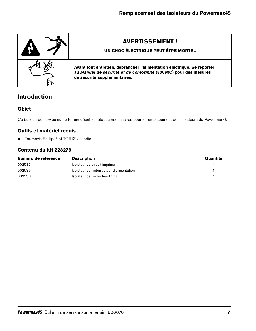

# **Introduction**

## **Objet**

Ce bulletin de service sur le terrain décrit les étapes nécessaires pour le remplacement des isolateurs du Powermax45.

## **Outils et matériel requis**

■ Tournevis Phillips<sup>®</sup> et TORX<sup>®</sup> assortis

## **Contenu du kit 228279**

| Numéro de référence | <b>Description</b>                         | Quantité |
|---------------------|--------------------------------------------|----------|
| 002535              | Isolateur du circuit imprimé               |          |
| 002536              | Isolateur de l'interrupteur d'alimentation |          |
| 002538              | Isolateur de l'inducteur PFC               |          |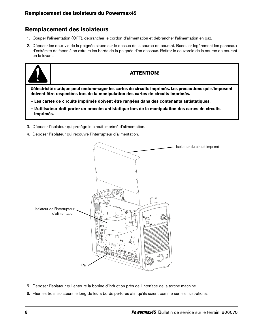# **Remplacement des isolateurs**

- 1. Couper l'alimentation (OFF), débrancher le cordon d'alimentation et débrancher l'alimentation en gaz.
- 2. Déposer les deux vis de la poignée située sur le dessus de la source de courant. Basculer légèrement les panneaux d'extrémité de façon à en extraire les bords de la poignée d'en dessous. Retirer le couvercle de la source de courant en le levant.



## **ATTENTION!**

**L'électricité statique peut endommager les cartes de circuits imprimés. Les précautions qui s'imposent doivent être respectées lors de la manipulation des cartes de circuits imprimés.**

- **Les cartes de circuits imprimés doivent être rangées dans des contenants antistatiques.**
- **L'utilisateur doit porter un bracelet antistatique lors de la manipulation des cartes de circuits imprimés.**
- 3. Déposer l'isolateur qui protège le circuit imprimé d'alimentation.
- <span id="page-7-0"></span>4. Déposer l'isolateur qui recouvre l'interrupteur d'alimentation.



- 5. Déposer l'isolateur qui entoure la bobine d'induction près de l'interface de la torche machine.
- 6. Plier les trois isolateurs le long de leurs bords perforés afin qu'ils soient comme sur les illustrations.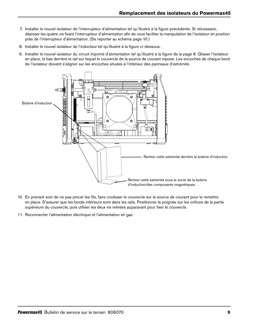- 7. Installer le nouvel isolateur de l'interrupteur d'alimentation tel qu'illustré à la figure précédente. Si nécessaire, déposer les quatre vis fixant l'interrupteur d'alimentation afin de vous faciliter la manipulation de l'isolateur en position près de l'interrupteur d'alimentation. (Se reporter au schéma [page 10](#page-9-0).)
- 8. Installer le nouvel isolateur de l'inducteur tel qu'illustré à la figure ci-dessous.
- 9. Installer le nouvel isolateur du circuit imprimé d'alimentation tel qu'illustré à la figure de la [page 8.](#page-7-0) Glisser l'isolateur en place, le bas derrière le rail sur lequel le couvercle de la source de courant repose. Les encoches de chaque bord de l'isolateur doivent s'aligner sur les encoches situées à l'intérieur des panneaux d'extrémité.



- 10. En prenant soin de ne pas pincer les fils, faire coulisser le couvercle sur la source de courant pour le remettre en place. S'assurer que les bords inférieurs sont dans les rails. Positionner la poignée sur les orifices de la partie supérieure du couvercle, puis utiliser les deux vis retirées auparavant pour fixer le couvercle.
- 11. Reconnecter l'alimentation électrique et l'alimentation en gaz.